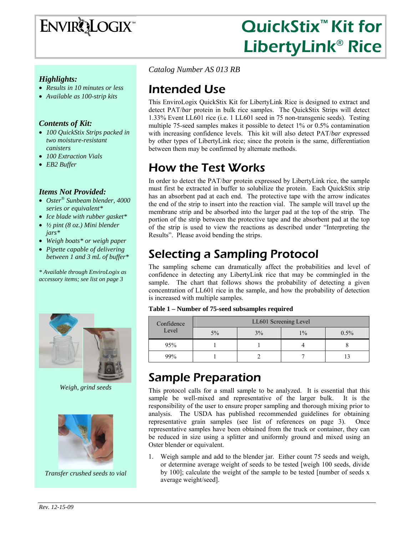

# QuickStix<sup>™</sup> Kit for LibertyLink® Rice

#### *Highlights:*

- *Results in 10 minutes or less*
- *Available as 100-strip kits*

#### *Contents of Kit:*

- *100 QuickStix Strips packed in two moisture-resistant canisters*
- *100 Extraction Vials*
- *EB2 Buffer*

#### *Items Not Provided:*

- *Oster® Sunbeam blender, 4000 series or equivalent\**
- *Ice blade with rubber gasket\**
- *½ pint (8 oz.) Mini blender jars\**
- *Weigh boats\* or weigh paper*
- *Pipette capable of delivering between 1 and 3 mL of buffer\**

*\* Available through EnviroLogix as accessory items; see list on page 3* 



*Weigh, grind seeds* 



*Transfer crushed seeds to vial* 

*Catalog Number AS 013 RB* 

### Intended Use

This EnviroLogix QuickStix Kit for LibertyLink Rice is designed to extract and detect PAT/*bar* protein in bulk rice samples. The QuickStix Strips will detect 1.33% Event LL601 rice (i.e. 1 LL601 seed in 75 non-transgenic seeds). Testing multiple 75-seed samples makes it possible to detect 1% or 0.5% contamination with increasing confidence levels. This kit will also detect PAT/*bar* expressed by other types of LibertyLink rice; since the protein is the same, differentiation between them may be confirmed by alternate methods.

# How the Test Works

In order to detect the PAT/*bar* protein expressed by LibertyLink rice, the sample must first be extracted in buffer to solubilize the protein. Each QuickStix strip has an absorbent pad at each end. The protective tape with the arrow indicates the end of the strip to insert into the reaction vial. The sample will travel up the membrane strip and be absorbed into the larger pad at the top of the strip. The portion of the strip between the protective tape and the absorbent pad at the top of the strip is used to view the reactions as described under "Interpreting the Results". Please avoid bending the strips.

# Selecting a Sampling Protocol

The sampling scheme can dramatically affect the probabilities and level of confidence in detecting any LibertyLink rice that may be commingled in the sample. The chart that follows shows the probability of detecting a given concentration of LL601 rice in the sample, and how the probability of detection is increased with multiple samples.

| Table 1 – Number of 75-seed subsamples required |
|-------------------------------------------------|
|-------------------------------------------------|

| Confidence<br>Level | LL601 Screening Level |    |       |         |
|---------------------|-----------------------|----|-------|---------|
|                     | $5\%$                 | 3% | $1\%$ | $0.5\%$ |
| 95%                 |                       |    |       |         |
| 99%                 |                       |    |       |         |

### Sample Preparation

This protocol calls for a small sample to be analyzed. It is essential that this sample be well-mixed and representative of the larger bulk. It is the responsibility of the user to ensure proper sampling and thorough mixing prior to analysis. The USDA has published recommended guidelines for obtaining representative grain samples (see list of references on page 3). Once representative samples have been obtained from the truck or container, they can be reduced in size using a splitter and uniformly ground and mixed using an Oster blender or equivalent.

1. Weigh sample and add to the blender jar. Either count 75 seeds and weigh, or determine average weight of seeds to be tested [weigh 100 seeds, divide by 100]; calculate the weight of the sample to be tested [number of seeds x average weight/seed].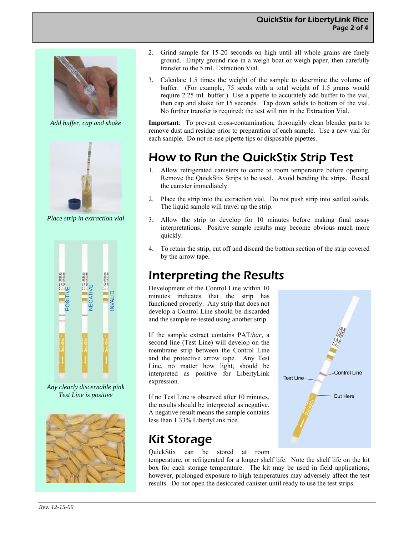

*Add buffer, cap and shake* 



*Place strip in extraction vial* 



*Any clearly discernable pink Test Line is positive* 



- 2. Grind sample for 15-20 seconds on high until all whole grains are finely ground. Empty ground rice in a weigh boat or weigh paper, then carefully transfer to the 5 mL Extraction Vial.
- 3. Calculate 1.5 times the weight of the sample to determine the volume of buffer. (For example, 75 seeds with a total weight of 1.5 grams would require 2.25 mL buffer.) Use a pipette to accurately add buffer to the vial, then cap and shake for 15 seconds. Tap down solids to bottom of the vial. No further transfer is required; the test will run in the Extraction Vial.

**Important**: To prevent cross-contamination, thoroughly clean blender parts to remove dust and residue prior to preparation of each sample. Use a new vial for each sample. Do not re-use pipette tips or disposable pipettes.

# How to Run the QuickStix Strip Test

- 1. Allow refrigerated canisters to come to room temperature before opening. Remove the QuickStix Strips to be used. Avoid bending the strips. Reseal the canister immediately.
- 2. Place the strip into the extraction vial. Do not push strip into settled solids. The liquid sample will travel up the strip.
- 3. Allow the strip to develop for 10 minutes before making final assay interpretations. Positive sample results may become obvious much more quickly.
- 4. To retain the strip, cut off and discard the bottom section of the strip covered by the arrow tape.

### Interpreting the Results

Development of the Control Line within 10 minutes indicates that the strip has functioned properly. Any strip that does not develop a Control Line should be discarded and the sample re-tested using another strip.

If the sample extract contains PAT/*bar*, a second line (Test Line) will develop on the membrane strip between the Control Line and the protective arrow tape. Any Test Line, no matter how light, should be interpreted as positive for LibertyLink expression.

If no Test Line is observed after 10 minutes, the results should be interpreted as negative. A negative result means the sample contains less than 1.33% LibertyLink rice.

### Kit Storage

QuickStix can be stored at room

temperature, or refrigerated for a longer shelf life. Note the shelf life on the kit box for each storage temperature. The kit may be used in field applications; however, prolonged exposure to high temperatures may adversely affect the test results. Do not open the desiccated canister until ready to use the test strips.

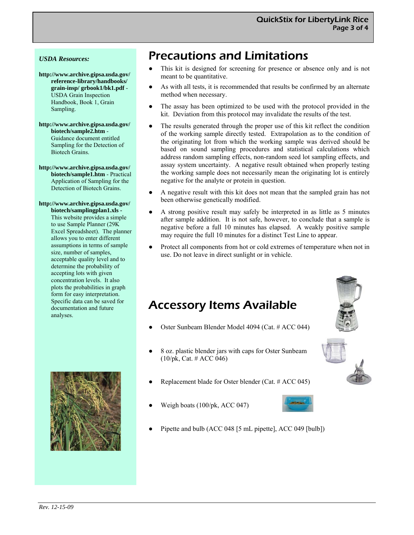#### *USDA Resources:*

**http://www.archive.gipsa.usda.gov/ reference-library/handbooks/ grain-insp/ grbook1/bk1.pdf** - USDA Grain Inspection Handbook, Book 1, Grain Sampling.

**http://www.archive.gipsa.usda.gov/ biotech/sample2.htm** - Guidance document entitled Sampling for the Detection of Biotech Grains.

**http://www.archive.gipsa.usda.gov/ biotech/sample1.htm** - Practical Application of Sampling for the Detection of Biotech Grains.

**http://www.archive.gipsa.usda.gov/ biotech/samplingplan1.xls -**  This website provides a simple to use Sample Planner (29K Excel Spreadsheet). The planner allows you to enter different assumptions in terms of sample size, number of samples, acceptable quality level and to determine the probability of accepting lots with given concentration levels. It also plots the probabilities in graph form for easy interpretation. Specific data can be saved for documentation and future analyses.



### Precautions and Limitations

- This kit is designed for screening for presence or absence only and is not meant to be quantitative.
- As with all tests, it is recommended that results be confirmed by an alternate method when necessary.
- The assay has been optimized to be used with the protocol provided in the kit. Deviation from this protocol may invalidate the results of the test.
- The results generated through the proper use of this kit reflect the condition of the working sample directly tested. Extrapolation as to the condition of the originating lot from which the working sample was derived should be based on sound sampling procedures and statistical calculations which address random sampling effects, non-random seed lot sampling effects, and assay system uncertainty. A negative result obtained when properly testing the working sample does not necessarily mean the originating lot is entirely negative for the analyte or protein in question.
- A negative result with this kit does not mean that the sampled grain has not been otherwise genetically modified.
- A strong positive result may safely be interpreted in as little as 5 minutes after sample addition. It is not safe, however, to conclude that a sample is negative before a full 10 minutes has elapsed. A weakly positive sample may require the full 10 minutes for a distinct Test Line to appear.
- Protect all components from hot or cold extremes of temperature when not in use. Do not leave in direct sunlight or in vehicle.

### Accessory Items Available

- Oster Sunbeam Blender Model 4094 (Cat. # ACC 044)
- 8 oz. plastic blender jars with caps for Oster Sunbeam (10/pk, Cat. # ACC 046)
- Replacement blade for Oster blender (Cat.  $#$  ACC 045)
- Weigh boats (100/pk, ACC 047)



Pipette and bulb (ACC 048 [5 mL pipette], ACC 049 [bulb])